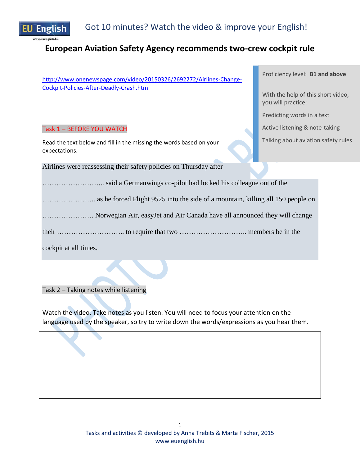

# **European Aviation Safety Agency recommends two-crew cockpit rule**

[http://www.onenewspage.com/video/20150326/2692272/Airlines-Change-](http://www.onenewspage.com/video/20150326/2692272/Airlines-Change-Cockpit-Policies-After-Deadly-Crash.htm)[Cockpit-Policies-After-Deadly-Crash.htm](http://www.onenewspage.com/video/20150326/2692272/Airlines-Change-Cockpit-Policies-After-Deadly-Crash.htm)

### Task 1 – BEFORE YOU WATCH

Read the text below and fill in the missing the words based on your expectations.

Airlines were reassessing their safety policies on Thursday after

……………………... said a Germanwings co-pilot had locked his colleague out of the

………………….. as he forced Flight 9525 into the side of a mountain, killing all 150 people on

…………………. Norwegian Air, easyJet and Air Canada have all announced they will change

their ……………………….. to require that two ……………………….. members be in the

cockpit at all times.

Task 2 – Taking notes while listening

Watch the video. Take notes as you listen. You will need to focus your attention on the language used by the speaker, so try to write down the words/expressions as you hear them.

Proficiency level: **B1 and above**

With the help of this short video, you will practice:

Predicting words in a text

Active listening & note-taking

Talking about aviation safety rules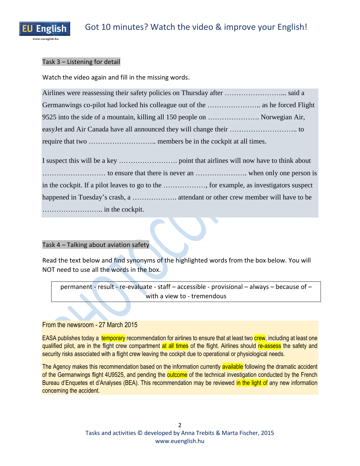

## Task 3 – Listening for detail

Watch the video again and fill in the missing words.

| 9525 into the side of a mountain, killing all 150 people on  Norwegian Air, |  |
|-----------------------------------------------------------------------------|--|
|                                                                             |  |
|                                                                             |  |

I suspect this will be a key ……………………. point that airlines will now have to think about ……………………… to ensure that there is never an …………………. when only one person is in the cockpit. If a pilot leaves to go to the ………………, for example, as investigators suspect happened in Tuesday's crash, a ………………. attendant or other crew member will have to be …………………….. in the cockpit.

## Task 4 – Talking about aviation safety

Read the text below and find synonyms of the highlighted words from the box below. You will NOT need to use all the words in the box.

permanent - result - re-evaluate - staff – accessible - provisional – always – because of – with a view to - tremendous

## From the newsroom - 27 March 2015

EASA publishes today a temporary recommendation for airlines to ensure that at least two crew, including at least one qualified pilot, are in the flight crew compartment at all times of the flight. Airlines should re-assess the safety and security risks associated with a flight crew leaving the cockpit due to operational or physiological needs.

The Agency makes this recommendation based on the information currently available following the dramatic accident of the Germanwings flight 4U9525, and pending the outcome of the technical investigation conducted by the French Bureau d'Enquetes et d'Analyses (BEA). This recommendation may be reviewed in the light of any new information concerning the accident.